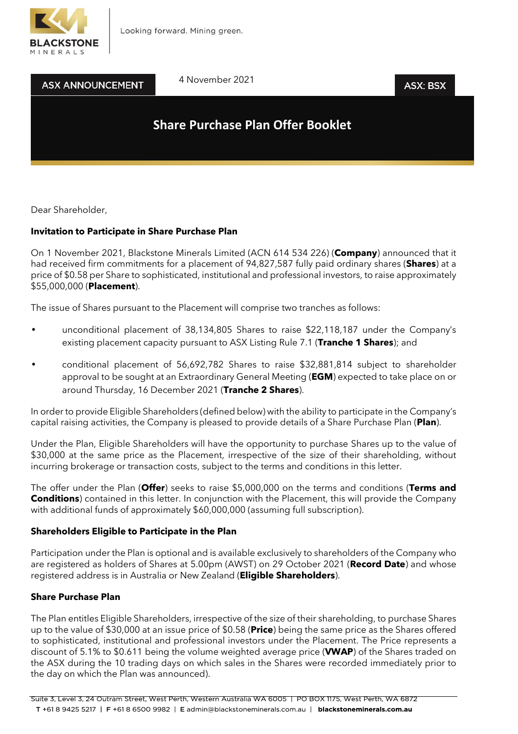



4 November 2021

## **ASX: BSX**

# **Share Purchase Plan Offer Booklet**

Dear Shareholder,

## **Invitation to Participate in Share Purchase Plan**

On 1 November 2021, Blackstone Minerals Limited (ACN 614 534 226) (**Company**) announced that it had received firm commitments for a placement of 94,827,587 fully paid ordinary shares (**Shares**) at a price of \$0.58 per Share to sophisticated, institutional and professional investors, to raise approximately \$55,000,000 (**Placement**).

The issue of Shares pursuant to the Placement will comprise two tranches as follows:

- unconditional placement of 38,134,805 Shares to raise \$22,118,187 under the Company's existing placement capacity pursuant to ASX Listing Rule 7.1 (**Tranche 1 Shares**); and
- conditional placement of 56,692,782 Shares to raise \$32,881,814 subject to shareholder approval to be sought at an Extraordinary General Meeting (**EGM**) expected to take place on or around Thursday, 16 December 2021 (**Tranche 2 Shares**).

In order to provide Eligible Shareholders (defined below) with the ability to participate in the Company's capital raising activities, the Company is pleased to provide details of a Share Purchase Plan (**Plan**).

Under the Plan, Eligible Shareholders will have the opportunity to purchase Shares up to the value of \$30,000 at the same price as the Placement, irrespective of the size of their shareholding, without incurring brokerage or transaction costs, subject to the terms and conditions in this letter.

The offer under the Plan (**Offer**) seeks to raise \$5,000,000 on the terms and conditions (**Terms and Conditions**) contained in this letter. In conjunction with the Placement, this will provide the Company with additional funds of approximately \$60,000,000 (assuming full subscription).

## **Shareholders Eligible to Participate in the Plan**

Participation under the Plan is optional and is available exclusively to shareholders of the Company who are registered as holders of Shares at 5.00pm (AWST) on 29 October 2021 (**Record Date**) and whose registered address is in Australia or New Zealand (**Eligible Shareholders**).

## **Share Purchase Plan**

The Plan entitles Eligible Shareholders, irrespective of the size of their shareholding, to purchase Shares up to the value of \$30,000 at an issue price of \$0.58 (**Price**) being the same price as the Shares offered to sophisticated, institutional and professional investors under the Placement. The Price represents a discount of 5.1% to \$0.611 being the volume weighted average price (**VWAP**) of the Shares traded on the ASX during the 10 trading days on which sales in the Shares were recorded immediately prior to the day on which the Plan was announced).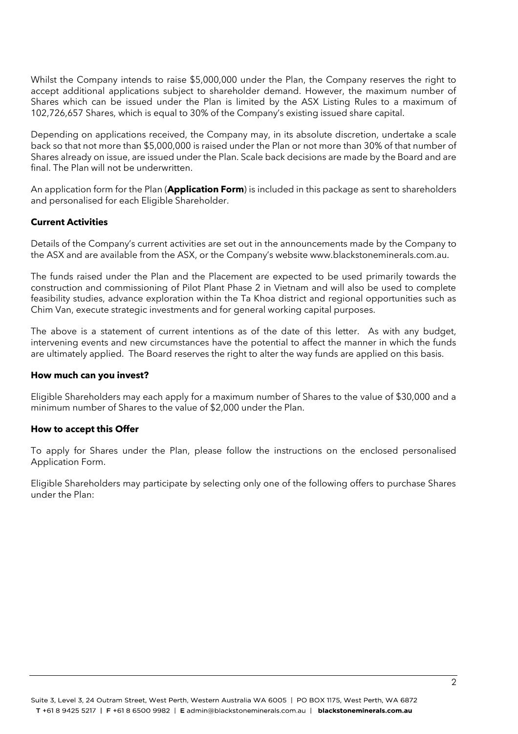Whilst the Company intends to raise \$5,000,000 under the Plan, the Company reserves the right to accept additional applications subject to shareholder demand. However, the maximum number of Shares which can be issued under the Plan is limited by the ASX Listing Rules to a maximum of 102,726,657 Shares, which is equal to 30% of the Company's existing issued share capital.

Depending on applications received, the Company may, in its absolute discretion, undertake a scale back so that not more than \$5,000,000 is raised under the Plan or not more than 30% of that number of Shares already on issue, are issued under the Plan. Scale back decisions are made by the Board and are final. The Plan will not be underwritten.

An application form for the Plan (**Application Form**) is included in this package as sent to shareholders and personalised for each Eligible Shareholder.

#### **Current Activities**

Details of the Company's current activities are set out in the announcements made by the Company to the ASX and are available from the ASX, or the Company's website www.blackstoneminerals.com.au.

The funds raised under the Plan and the Placement are expected to be used primarily towards the construction and commissioning of Pilot Plant Phase 2 in Vietnam and will also be used to complete feasibility studies, advance exploration within the Ta Khoa district and regional opportunities such as Chim Van, execute strategic investments and for general working capital purposes.

The above is a statement of current intentions as of the date of this letter. As with any budget, intervening events and new circumstances have the potential to affect the manner in which the funds are ultimately applied. The Board reserves the right to alter the way funds are applied on this basis.

#### **How much can you invest?**

Eligible Shareholders may each apply for a maximum number of Shares to the value of \$30,000 and a minimum number of Shares to the value of \$2,000 under the Plan.

#### **How to accept this Offer**

To apply for Shares under the Plan, please follow the instructions on the enclosed personalised Application Form.

Eligible Shareholders may participate by selecting only one of the following offers to purchase Shares under the Plan: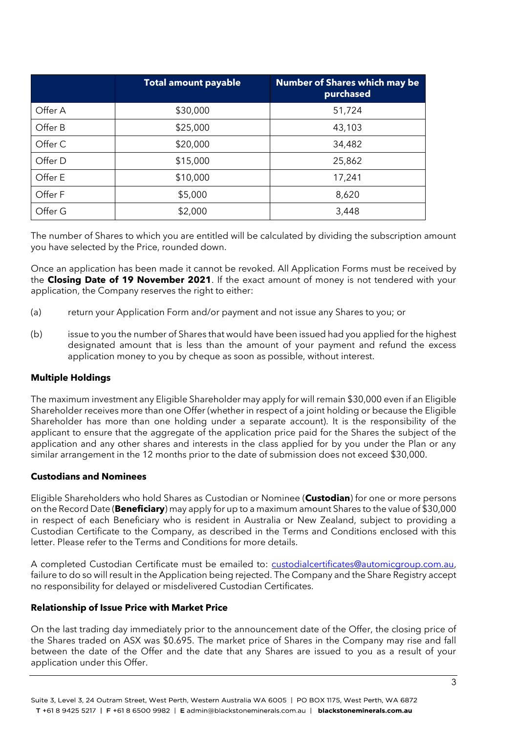|         | <b>Total amount payable</b> | <b>Number of Shares which may be</b><br>purchased |
|---------|-----------------------------|---------------------------------------------------|
| Offer A | \$30,000                    | 51,724                                            |
| Offer B | \$25,000                    | 43,103                                            |
| Offer C | \$20,000                    | 34,482                                            |
| Offer D | \$15,000                    | 25,862                                            |
| Offer E | \$10,000                    | 17,241                                            |
| Offer F | \$5,000                     | 8,620                                             |
| Offer G | \$2,000                     | 3,448                                             |

The number of Shares to which you are entitled will be calculated by dividing the subscription amount you have selected by the Price, rounded down.

Once an application has been made it cannot be revoked. All Application Forms must be received by the **Closing Date of 19 November 2021**. If the exact amount of money is not tendered with your application, the Company reserves the right to either:

- (a) return your Application Form and/or payment and not issue any Shares to you; or
- (b) issue to you the number of Shares that would have been issued had you applied for the highest designated amount that is less than the amount of your payment and refund the excess application money to you by cheque as soon as possible, without interest.

#### **Multiple Holdings**

The maximum investment any Eligible Shareholder may apply for will remain \$30,000 even if an Eligible Shareholder receives more than one Offer (whether in respect of a joint holding or because the Eligible Shareholder has more than one holding under a separate account). It is the responsibility of the applicant to ensure that the aggregate of the application price paid for the Shares the subject of the application and any other shares and interests in the class applied for by you under the Plan or any similar arrangement in the 12 months prior to the date of submission does not exceed \$30,000.

#### **Custodians and Nominees**

Eligible Shareholders who hold Shares as Custodian or Nominee (**Custodian**) for one or more persons on the Record Date (**Beneficiary**) may apply for up to a maximum amount Shares to the value of \$30,000 in respect of each Beneficiary who is resident in Australia or New Zealand, subject to providing a Custodian Certificate to the Company, as described in the Terms and Conditions enclosed with this letter. Please refer to the Terms and Conditions for more details.

A completed Custodian Certificate must be emailed to: [custodialcertificates@automicgroup.com.au,](mailto:custodialcertificates@automicgroup.com.au) failure to do so will result in the Application being rejected. The Company and the Share Registry accept no responsibility for delayed or misdelivered Custodian Certificates.

#### **Relationship of Issue Price with Market Price**

On the last trading day immediately prior to the announcement date of the Offer, the closing price of the Shares traded on ASX was \$0.695. The market price of Shares in the Company may rise and fall between the date of the Offer and the date that any Shares are issued to you as a result of your application under this Offer.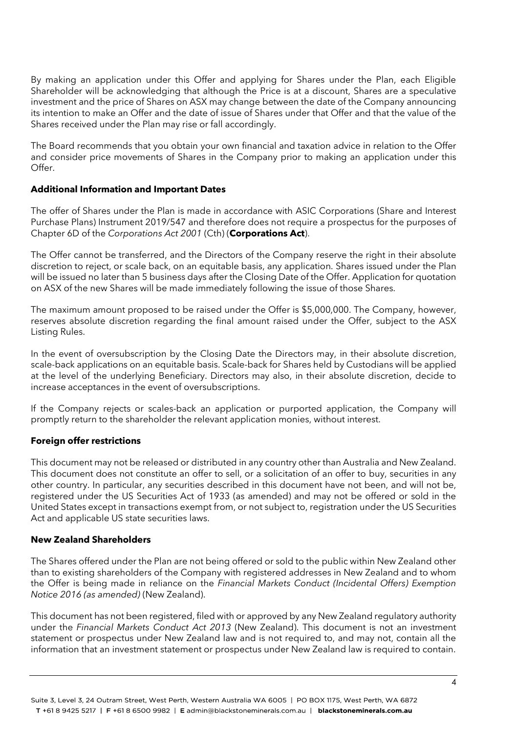By making an application under this Offer and applying for Shares under the Plan, each Eligible Shareholder will be acknowledging that although the Price is at a discount, Shares are a speculative investment and the price of Shares on ASX may change between the date of the Company announcing its intention to make an Offer and the date of issue of Shares under that Offer and that the value of the Shares received under the Plan may rise or fall accordingly.

The Board recommends that you obtain your own financial and taxation advice in relation to the Offer and consider price movements of Shares in the Company prior to making an application under this Offer.

## **Additional Information and Important Dates**

The offer of Shares under the Plan is made in accordance with ASIC Corporations (Share and Interest Purchase Plans) Instrument 2019/547 and therefore does not require a prospectus for the purposes of Chapter 6D of the *Corporations Act 2001* (Cth) (**Corporations Act**).

The Offer cannot be transferred, and the Directors of the Company reserve the right in their absolute discretion to reject, or scale back, on an equitable basis, any application. Shares issued under the Plan will be issued no later than 5 business days after the Closing Date of the Offer. Application for quotation on ASX of the new Shares will be made immediately following the issue of those Shares.

The maximum amount proposed to be raised under the Offer is \$5,000,000. The Company, however, reserves absolute discretion regarding the final amount raised under the Offer, subject to the ASX Listing Rules.

In the event of oversubscription by the Closing Date the Directors may, in their absolute discretion, scale-back applications on an equitable basis. Scale-back for Shares held by Custodians will be applied at the level of the underlying Beneficiary. Directors may also, in their absolute discretion, decide to increase acceptances in the event of oversubscriptions.

If the Company rejects or scales-back an application or purported application, the Company will promptly return to the shareholder the relevant application monies, without interest.

## **Foreign offer restrictions**

This document may not be released or distributed in any country other than Australia and New Zealand. This document does not constitute an offer to sell, or a solicitation of an offer to buy, securities in any other country. In particular, any securities described in this document have not been, and will not be, registered under the US Securities Act of 1933 (as amended) and may not be offered or sold in the United States except in transactions exempt from, or not subject to, registration under the US Securities Act and applicable US state securities laws.

## **New Zealand Shareholders**

The Shares offered under the Plan are not being offered or sold to the public within New Zealand other than to existing shareholders of the Company with registered addresses in New Zealand and to whom the Offer is being made in reliance on the *Financial Markets Conduct (Incidental Offers) Exemption Notice 2016 (as amended)* (New Zealand).

This document has not been registered, filed with or approved by any New Zealand regulatory authority under the *Financial Markets Conduct Act 2013* (New Zealand). This document is not an investment statement or prospectus under New Zealand law and is not required to, and may not, contain all the information that an investment statement or prospectus under New Zealand law is required to contain.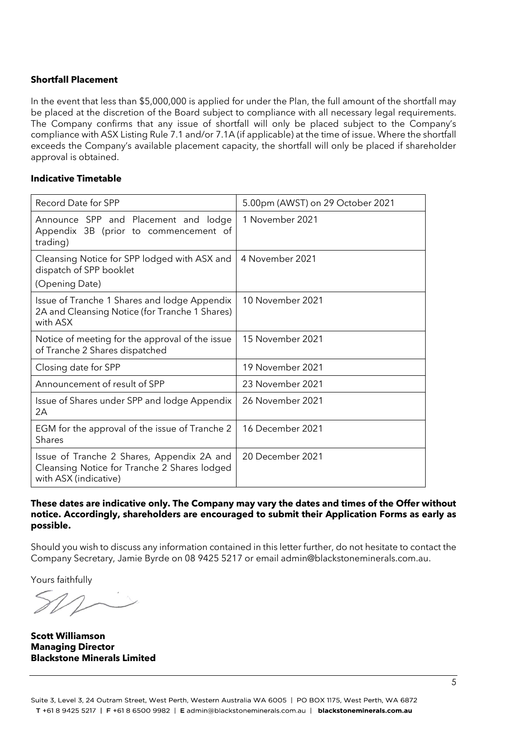## **Shortfall Placement**

In the event that less than \$5,000,000 is applied for under the Plan, the full amount of the shortfall may be placed at the discretion of the Board subject to compliance with all necessary legal requirements. The Company confirms that any issue of shortfall will only be placed subject to the Company's compliance with ASX Listing Rule 7.1 and/or 7.1A (if applicable) at the time of issue. Where the shortfall exceeds the Company's available placement capacity, the shortfall will only be placed if shareholder approval is obtained.

## **Indicative Timetable**

| Record Date for SPP                                                                                                 | 5.00pm (AWST) on 29 October 2021 |
|---------------------------------------------------------------------------------------------------------------------|----------------------------------|
| Announce SPP and Placement and lodge<br>Appendix 3B (prior to commencement of<br>trading)                           | 1 November 2021                  |
| Cleansing Notice for SPP lodged with ASX and<br>dispatch of SPP booklet<br>(Opening Date)                           | 4 November 2021                  |
| Issue of Tranche 1 Shares and lodge Appendix<br>2A and Cleansing Notice (for Tranche 1 Shares)<br>with ASX          | 10 November 2021                 |
| Notice of meeting for the approval of the issue<br>of Tranche 2 Shares dispatched                                   | 15 November 2021                 |
| Closing date for SPP                                                                                                | 19 November 2021                 |
| Announcement of result of SPP                                                                                       | 23 November 2021                 |
| Issue of Shares under SPP and lodge Appendix<br>2A                                                                  | 26 November 2021                 |
| EGM for the approval of the issue of Tranche 2<br>Shares                                                            | 16 December 2021                 |
| Issue of Tranche 2 Shares, Appendix 2A and<br>Cleansing Notice for Tranche 2 Shares lodged<br>with ASX (indicative) | 20 December 2021                 |

#### **These dates are indicative only. The Company may vary the dates and times of the Offer without notice. Accordingly, shareholders are encouraged to submit their Application Forms as early as possible.**

Should you wish to discuss any information contained in this letter further, do not hesitate to contact the Company Secretary, Jamie Byrde on 08 9425 5217 or email admin@blackstoneminerals.com.au.

Yours faithfully

**Scott Williamson Managing Director Blackstone Minerals Limited**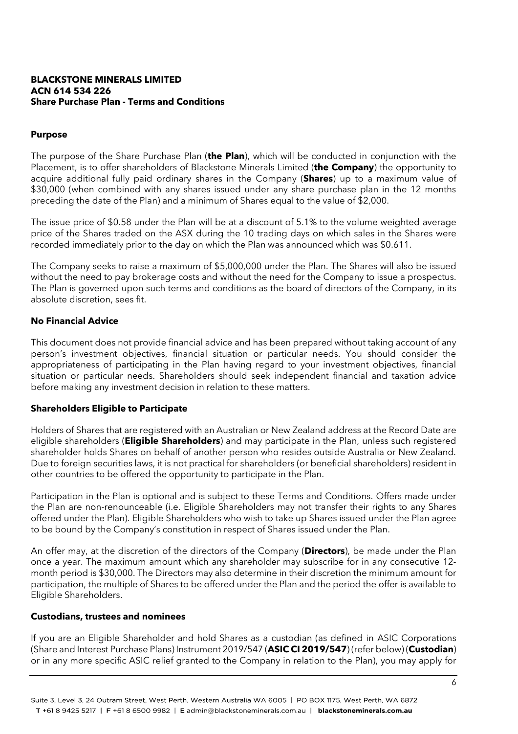#### **BLACKSTONE MINERALS LIMITED ACN 614 534 226 Share Purchase Plan - Terms and Conditions**

#### **Purpose**

The purpose of the Share Purchase Plan (**the Plan**), which will be conducted in conjunction with the Placement, is to offer shareholders of Blackstone Minerals Limited (**the Company**) the opportunity to acquire additional fully paid ordinary shares in the Company (**Shares**) up to a maximum value of \$30,000 (when combined with any shares issued under any share purchase plan in the 12 months preceding the date of the Plan) and a minimum of Shares equal to the value of \$2,000.

The issue price of \$0.58 under the Plan will be at a discount of 5.1% to the volume weighted average price of the Shares traded on the ASX during the 10 trading days on which sales in the Shares were recorded immediately prior to the day on which the Plan was announced which was \$0.611.

The Company seeks to raise a maximum of \$5,000,000 under the Plan. The Shares will also be issued without the need to pay brokerage costs and without the need for the Company to issue a prospectus. The Plan is governed upon such terms and conditions as the board of directors of the Company, in its absolute discretion, sees fit.

#### **No Financial Advice**

This document does not provide financial advice and has been prepared without taking account of any person's investment objectives, financial situation or particular needs. You should consider the appropriateness of participating in the Plan having regard to your investment objectives, financial situation or particular needs. Shareholders should seek independent financial and taxation advice before making any investment decision in relation to these matters.

## **Shareholders Eligible to Participate**

Holders of Shares that are registered with an Australian or New Zealand address at the Record Date are eligible shareholders (**Eligible Shareholders**) and may participate in the Plan, unless such registered shareholder holds Shares on behalf of another person who resides outside Australia or New Zealand. Due to foreign securities laws, it is not practical for shareholders (or beneficial shareholders) resident in other countries to be offered the opportunity to participate in the Plan.

Participation in the Plan is optional and is subject to these Terms and Conditions. Offers made under the Plan are non-renounceable (i.e. Eligible Shareholders may not transfer their rights to any Shares offered under the Plan). Eligible Shareholders who wish to take up Shares issued under the Plan agree to be bound by the Company's constitution in respect of Shares issued under the Plan.

An offer may, at the discretion of the directors of the Company (**Directors**), be made under the Plan once a year. The maximum amount which any shareholder may subscribe for in any consecutive 12 month period is \$30,000. The Directors may also determine in their discretion the minimum amount for participation, the multiple of Shares to be offered under the Plan and the period the offer is available to Eligible Shareholders.

#### **Custodians, trustees and nominees**

If you are an Eligible Shareholder and hold Shares as a custodian (as defined in ASIC Corporations (Share and Interest Purchase Plans) Instrument 2019/547 (**ASIC CI 2019/547**) (refer below) (**Custodian**) or in any more specific ASIC relief granted to the Company in relation to the Plan), you may apply for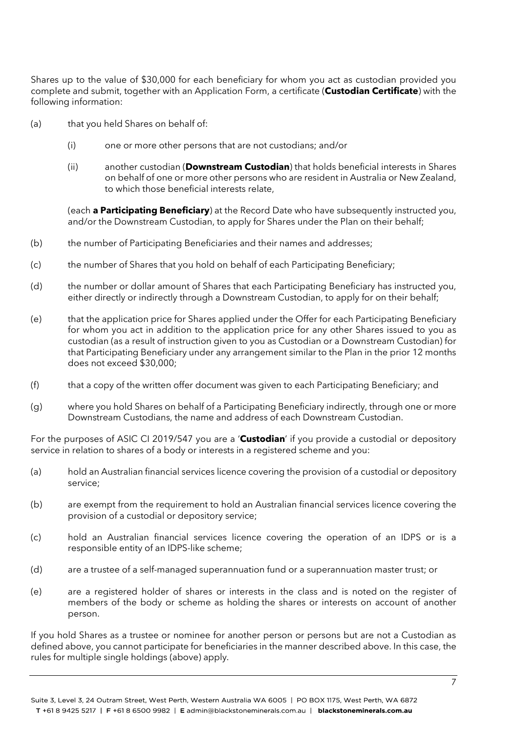Shares up to the value of \$30,000 for each beneficiary for whom you act as custodian provided you complete and submit, together with an Application Form, a certificate (**Custodian Certificate**) with the following information:

- (a) that you held Shares on behalf of:
	- (i) one or more other persons that are not custodians; and/or
	- (ii) another custodian (**Downstream Custodian**) that holds beneficial interests in Shares on behalf of one or more other persons who are resident in Australia or New Zealand, to which those beneficial interests relate,

(each **a Participating Beneficiary**) at the Record Date who have subsequently instructed you, and/or the Downstream Custodian, to apply for Shares under the Plan on their behalf;

- (b) the number of Participating Beneficiaries and their names and addresses;
- (c) the number of Shares that you hold on behalf of each Participating Beneficiary;
- (d) the number or dollar amount of Shares that each Participating Beneficiary has instructed you, either directly or indirectly through a Downstream Custodian, to apply for on their behalf;
- (e) that the application price for Shares applied under the Offer for each Participating Beneficiary for whom you act in addition to the application price for any other Shares issued to you as custodian (as a result of instruction given to you as Custodian or a Downstream Custodian) for that Participating Beneficiary under any arrangement similar to the Plan in the prior 12 months does not exceed \$30,000;
- (f) that a copy of the written offer document was given to each Participating Beneficiary; and
- (g) where you hold Shares on behalf of a Participating Beneficiary indirectly, through one or more Downstream Custodians, the name and address of each Downstream Custodian.

For the purposes of ASIC CI 2019/547 you are a '**Custodian**' if you provide a custodial or depository service in relation to shares of a body or interests in a registered scheme and you:

- (a) hold an Australian financial services licence covering the provision of a custodial or depository service;
- (b) are exempt from the requirement to hold an Australian financial services licence covering the provision of a custodial or depository service;
- (c) hold an Australian financial services licence covering the operation of an IDPS or is a responsible entity of an IDPS-like scheme;
- (d) are a trustee of a self-managed superannuation fund or a superannuation master trust; or
- (e) are a registered holder of shares or interests in the class and is noted on the register of members of the body or scheme as holding the shares or interests on account of another person.

If you hold Shares as a trustee or nominee for another person or persons but are not a Custodian as defined above, you cannot participate for beneficiaries in the manner described above. In this case, the rules for multiple single holdings (above) apply.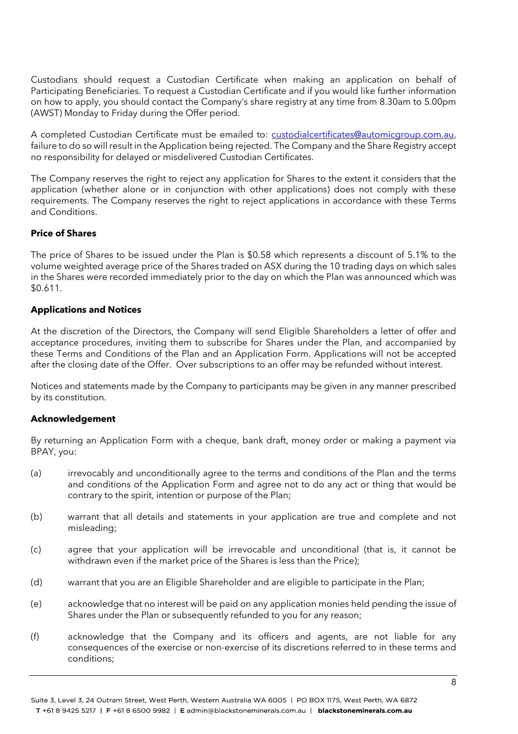Custodians should request a Custodian Certificate when making an application on behalf of Participating Beneficiaries. To request a Custodian Certificate and if you would like further information on how to apply, you should contact the Company's share registry at any time from 8.30am to 5.00pm (AWST) Monday to Friday during the Offer period.

A completed Custodian Certificate must be emailed to: [custodialcertificates@automicgroup.com.au,](mailto:custodialcertificates@automicgroup.com.au) failure to do so will result in the Application being rejected. The Company and the Share Registry accept no responsibility for delayed or misdelivered Custodian Certificates.

The Company reserves the right to reject any application for Shares to the extent it considers that the application (whether alone or in conjunction with other applications) does not comply with these requirements. The Company reserves the right to reject applications in accordance with these Terms and Conditions.

## **Price of Shares**

The price of Shares to be issued under the Plan is \$0.58 which represents a discount of 5.1% to the volume weighted average price of the Shares traded on ASX during the 10 trading days on which sales in the Shares were recorded immediately prior to the day on which the Plan was announced which was \$0.611.

#### **Applications and Notices**

At the discretion of the Directors, the Company will send Eligible Shareholders a letter of offer and acceptance procedures, inviting them to subscribe for Shares under the Plan, and accompanied by these Terms and Conditions of the Plan and an Application Form. Applications will not be accepted after the closing date of the Offer. Over subscriptions to an offer may be refunded without interest.

Notices and statements made by the Company to participants may be given in any manner prescribed by its constitution.

#### **Acknowledgement**

By returning an Application Form with a cheque, bank draft, money order or making a payment via BPAY, you:

- (a) irrevocably and unconditionally agree to the terms and conditions of the Plan and the terms and conditions of the Application Form and agree not to do any act or thing that would be contrary to the spirit, intention or purpose of the Plan;
- (b) warrant that all details and statements in your application are true and complete and not misleading;
- (c) agree that your application will be irrevocable and unconditional (that is, it cannot be withdrawn even if the market price of the Shares is less than the Price);
- (d) warrant that you are an Eligible Shareholder and are eligible to participate in the Plan;
- (e) acknowledge that no interest will be paid on any application monies held pending the issue of Shares under the Plan or subsequently refunded to you for any reason;
- (f) acknowledge that the Company and its officers and agents, are not liable for any consequences of the exercise or non-exercise of its discretions referred to in these terms and conditions;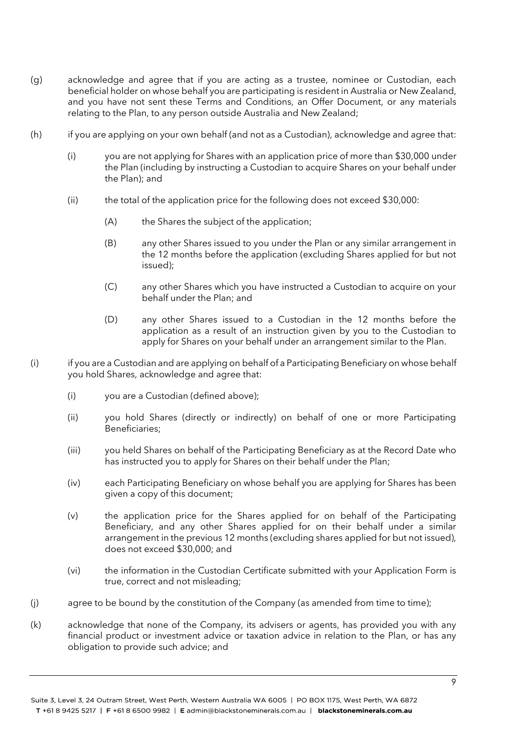- (g) acknowledge and agree that if you are acting as a trustee, nominee or Custodian, each beneficial holder on whose behalf you are participating is resident in Australia or New Zealand, and you have not sent these Terms and Conditions, an Offer Document, or any materials relating to the Plan, to any person outside Australia and New Zealand;
- (h) if you are applying on your own behalf (and not as a Custodian), acknowledge and agree that:
	- (i) you are not applying for Shares with an application price of more than \$30,000 under the Plan (including by instructing a Custodian to acquire Shares on your behalf under the Plan); and
	- (ii) the total of the application price for the following does not exceed \$30,000:
		- (A) the Shares the subject of the application;
		- (B) any other Shares issued to you under the Plan or any similar arrangement in the 12 months before the application (excluding Shares applied for but not issued);
		- (C) any other Shares which you have instructed a Custodian to acquire on your behalf under the Plan; and
		- (D) any other Shares issued to a Custodian in the 12 months before the application as a result of an instruction given by you to the Custodian to apply for Shares on your behalf under an arrangement similar to the Plan.
- (i) if you are a Custodian and are applying on behalf of a Participating Beneficiary on whose behalf you hold Shares, acknowledge and agree that:
	- (i) you are a Custodian (defined above);
	- (ii) you hold Shares (directly or indirectly) on behalf of one or more Participating Beneficiaries;
	- (iii) you held Shares on behalf of the Participating Beneficiary as at the Record Date who has instructed you to apply for Shares on their behalf under the Plan;
	- (iv) each Participating Beneficiary on whose behalf you are applying for Shares has been given a copy of this document;
	- (v) the application price for the Shares applied for on behalf of the Participating Beneficiary, and any other Shares applied for on their behalf under a similar arrangement in the previous 12 months (excluding shares applied for but not issued), does not exceed \$30,000; and
	- (vi) the information in the Custodian Certificate submitted with your Application Form is true, correct and not misleading;
- (j) agree to be bound by the constitution of the Company (as amended from time to time);
- (k) acknowledge that none of the Company, its advisers or agents, has provided you with any financial product or investment advice or taxation advice in relation to the Plan, or has any obligation to provide such advice; and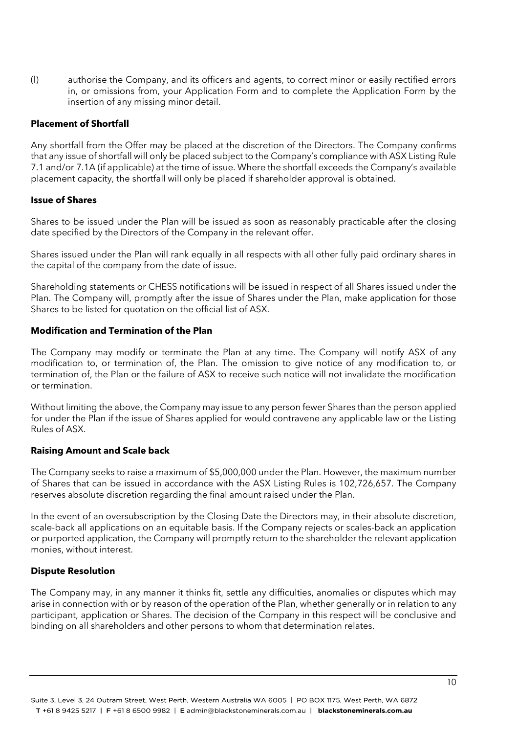(l) authorise the Company, and its officers and agents, to correct minor or easily rectified errors in, or omissions from, your Application Form and to complete the Application Form by the insertion of any missing minor detail.

## **Placement of Shortfall**

Any shortfall from the Offer may be placed at the discretion of the Directors. The Company confirms that any issue of shortfall will only be placed subject to the Company's compliance with ASX Listing Rule 7.1 and/or 7.1A (if applicable) at the time of issue. Where the shortfall exceeds the Company's available placement capacity, the shortfall will only be placed if shareholder approval is obtained.

#### **Issue of Shares**

Shares to be issued under the Plan will be issued as soon as reasonably practicable after the closing date specified by the Directors of the Company in the relevant offer.

Shares issued under the Plan will rank equally in all respects with all other fully paid ordinary shares in the capital of the company from the date of issue.

Shareholding statements or CHESS notifications will be issued in respect of all Shares issued under the Plan. The Company will, promptly after the issue of Shares under the Plan, make application for those Shares to be listed for quotation on the official list of ASX.

#### **Modification and Termination of the Plan**

The Company may modify or terminate the Plan at any time. The Company will notify ASX of any modification to, or termination of, the Plan. The omission to give notice of any modification to, or termination of, the Plan or the failure of ASX to receive such notice will not invalidate the modification or termination.

Without limiting the above, the Company may issue to any person fewer Shares than the person applied for under the Plan if the issue of Shares applied for would contravene any applicable law or the Listing Rules of ASX.

## **Raising Amount and Scale back**

The Company seeks to raise a maximum of \$5,000,000 under the Plan. However, the maximum number of Shares that can be issued in accordance with the ASX Listing Rules is 102,726,657. The Company reserves absolute discretion regarding the final amount raised under the Plan.

In the event of an oversubscription by the Closing Date the Directors may, in their absolute discretion, scale-back all applications on an equitable basis. If the Company rejects or scales-back an application or purported application, the Company will promptly return to the shareholder the relevant application monies, without interest.

#### **Dispute Resolution**

The Company may, in any manner it thinks fit, settle any difficulties, anomalies or disputes which may arise in connection with or by reason of the operation of the Plan, whether generally or in relation to any participant, application or Shares. The decision of the Company in this respect will be conclusive and binding on all shareholders and other persons to whom that determination relates.